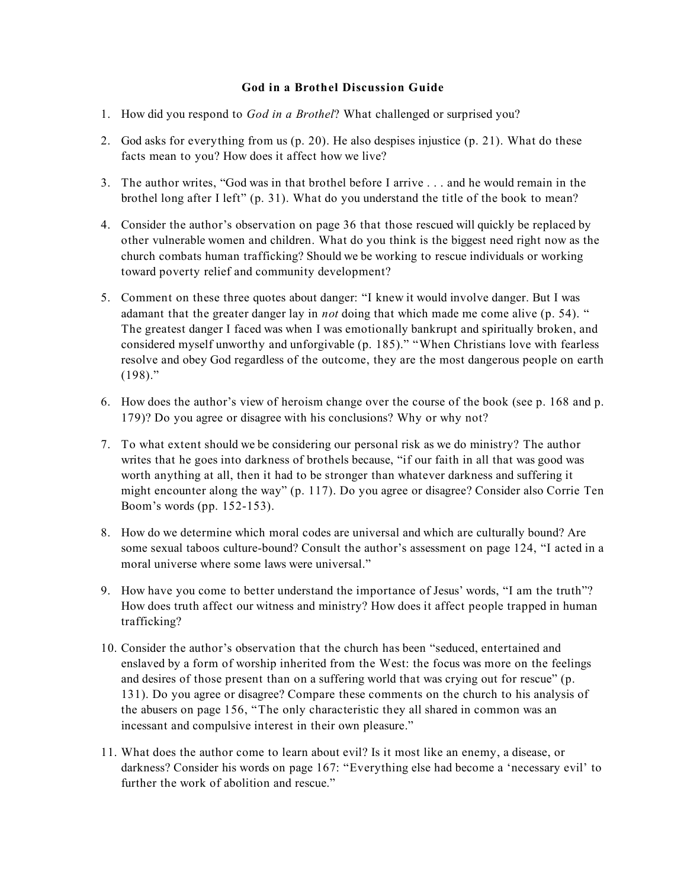## **God in a Brothel Discussion Guide**

- 1. How did you respond to *God in a Brothel*? What challenged or surprised you?
- 2. God asks for everything from us (p. 20). He also despises injustice (p. 21). What do these facts mean to you? How does it affect how we live?
- 3. The author writes, "God was in that brothel before I arrive . . . and he would remain in the brothel long after I left" (p. 31). What do you understand the title of the book to mean?
- 4. Consider the author's observation on page 36 that those rescued will quickly be replaced by other vulnerable women and children. What do you think is the biggest need right now as the church combats human trafficking? Should we be working to rescue individuals or working toward poverty relief and community development?
- 5. Comment on these three quotes about danger: "I knew it would involve danger. But I was adamant that the greater danger lay in *not* doing that which made me come alive (p. 54). " The greatest danger I faced was when I was emotionally bankrupt and spiritually broken, and considered myself unworthy and unforgivable (p. 185)." "When Christians love with fearless resolve and obey God regardless of the outcome, they are the most dangerous people on earth  $(198)$ ."
- 6. How does the author's view of heroism change over the course of the book (see p. 168 and p. 179)? Do you agree or disagree with his conclusions? Why or why not?
- 7. To what extent should we be considering our personal risk as we do ministry? The author writes that he goes into darkness of brothels because, "if our faith in all that was good was worth anything at all, then it had to be stronger than whatever darkness and suffering it might encounter along the way" (p. 117). Do you agree or disagree? Consider also Corrie Ten Boom's words (pp. 152-153).
- 8. How do we determine which moral codes are universal and which are culturally bound? Are some sexual taboos culture-bound? Consult the author's assessment on page 124, "I acted in a moral universe where some laws were universal."
- 9. How have you come to better understand the importance of Jesus' words, "I am the truth"? How does truth affect our witness and ministry? How does it affect people trapped in human trafficking?
- 10. Consider the author's observation that the church has been "seduced, entertained and enslaved by a form of worship inherited from the West: the focus was more on the feelings and desires of those present than on a suffering world that was crying out for rescue" (p. 131). Do you agree or disagree? Compare these comments on the church to his analysis of the abusers on page 156, "The only characteristic they all shared in common was an incessant and compulsive interest in their own pleasure."
- 11. What does the author come to learn about evil? Is it most like an enemy, a disease, or darkness? Consider his words on page 167: "Everything else had become a 'necessary evil' to further the work of abolition and rescue."